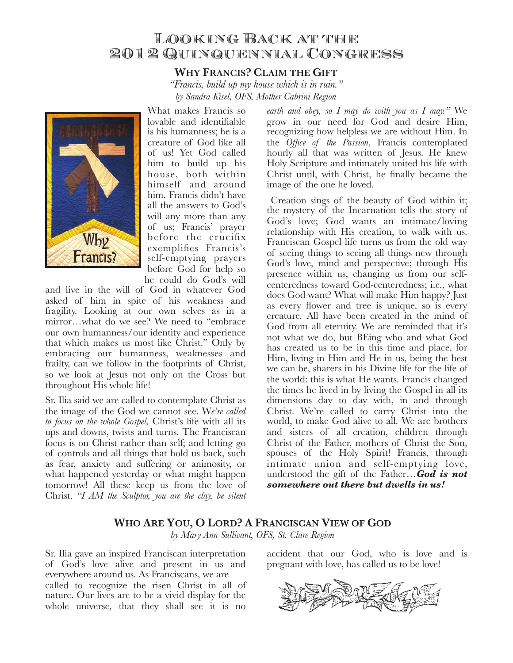# Looking Back at the 2012 Quinquennial Congress

## **WHY FRANCIS? CLAIM THE GIFT**

*"Francis, build up my house which is in ruin." by Sandra Kisel, OFS, Mother Cabrini Region*



What makes Francis so lovable and identifiable is his humanness; he is a creature of God like all of us! Yet God called him to build up his house, both within himself and around him. Francis didn't have all the answers to God's will any more than any of us; Francis' prayer before the crucifix exemplifies Francis's self-emptying prayers before God for help so he could do God's will

and live in the will of God in whatever God asked of him in spite of his weakness and fragility. Looking at our own selves as in a mirror…what do we see? We need to "embrace our own humanness/our identity and experience that which makes us most like Christ." Only by embracing our humanness, weaknesses and frailty, can we follow in the footprints of Christ, so we look at Jesus not only on the Cross but throughout His whole life!

Sr. Ilia said we are called to contemplate Christ as the image of the God we cannot see. W*e're called to focus on the whole Gospel,* Christ's life with all its ups and downs, twists and turns. The Franciscan focus is on Christ rather than self; and letting go of controls and all things that hold us back, such as fear, anxiety and suffering or animosity, or what happened yesterday or what might happen tomorrow! All these keep us from the love of Christ, *"I AM the Sculptor, you are the clay, be silent* 

*earth and obey, so I may do with you as I may."* We grow in our need for God and desire Him, recognizing how helpless we are without Him. In the *Office of the Passion*, Francis contemplated hourly all that was written of Jesus. He knew Holy Scripture and intimately united his life with Christ until, with Christ, he finally became the image of the one he loved.

Creation sings of the beauty of God within it; the mystery of the Incarnation tells the story of God's love; God wants an intimate/loving relationship with His creation, to walk with us. Franciscan Gospel life turns us from the old way of seeing things to seeing all things new through God's love, mind and perspective; through His presence within us, changing us from our selfcenteredness toward God-centeredness; i.e., what does God want? What will make Him happy? Just as every flower and tree is unique, so is every creature. All have been created in the mind of God from all eternity. We are reminded that it's not what we do, but BEing who and what God has created us to be in this time and place, for Him, living in Him and He in us, being the best we can be, sharers in his Divine life for the life of the world: this is what He wants. Francis changed the times he lived in by living the Gospel in all its dimensions day to day with, in and through Christ. We're called to carry Christ into the world, to make God alive to all. We are brothers and sisters of all creation, children through Christ of the Father, mothers of Christ the Son, spouses of the Holy Spirit! Francis, through intimate union and self-emptying love, understood the gift of the Father…*God is not somewhere out there but dwells in us!*

#### WHO ARE YOU, O LORD? A FRANCISCAN VIEW OF GOD

*by Mary Ann Sullivant, OFS, St. Clare Region*

Sr. Ilia gave an inspired Franciscan interpretation of God's love alive and present in us and everywhere around us. As Franciscans, we are called to recognize the risen Christ in all of nature. Our lives are to be a vivid display for the whole universe, that they shall see it is no

accident that our God, who is love and is pregnant with love, has called us to be love!

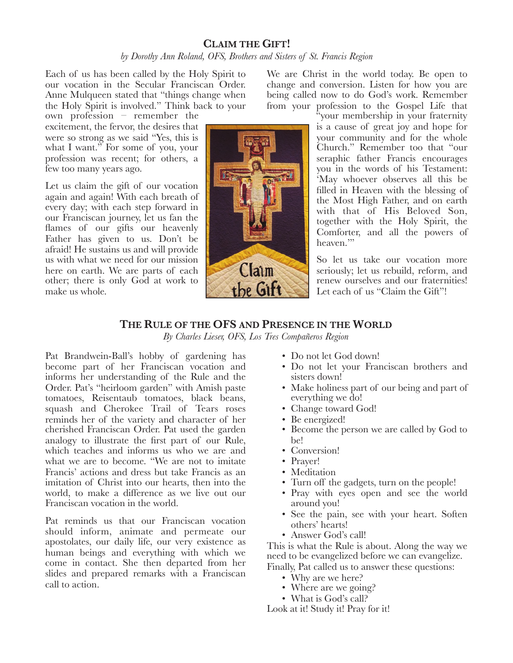## **CLAIM THE GIFT!** *by Dorothy Ann Roland, OFS, Brothers and Sisters of St. Francis Region*

Each of us has been called by the Holy Spirit to our vocation in the Secular Franciscan Order. Anne Mulqueen stated that "things change when the Holy Spirit is involved." Think back to your

own profession – remember the excitement, the fervor, the desires that were so strong as we said "Yes, this is what I want." For some of you, your profession was recent; for others, a few too many years ago.

Let us claim the gift of our vocation again and again! With each breath of every day; with each step forward in our Franciscan journey, let us fan the flames of our gifts our heavenly Father has given to us. Don't be afraid! He sustains us and will provide us with what we need for our mission here on earth. We are parts of each other; there is only God at work to make us whole.

Claim the Gift

We are Christ in the world today. Be open to change and conversion. Listen for how you are being called now to do God's work. Remember from your profession to the Gospel Life that

> "your membership in your fraternity is a cause of great joy and hope for your community and for the whole Church." Remember too that "our seraphic father Francis encourages you in the words of his Testament: 'May whoever observes all this be filled in Heaven with the blessing of the Most High Father, and on earth with that of His Beloved Son, together with the Holy Spirit, the Comforter, and all the powers of heaven."

> So let us take our vocation more seriously; let us rebuild, reform, and renew ourselves and our fraternities! Let each of us "Claim the Gift"!

# **THE RULE OF THE OFS AND PRESENCE IN THE WORLD**

*By Charles Lieser, OFS, Los Tres Compañeros Region*

Pat Brandwein-Ball's hobby of gardening has become part of her Franciscan vocation and informs her understanding of the Rule and the Order. Pat's "heirloom garden" with Amish paste tomatoes, Reisentaub tomatoes, black beans, squash and Cherokee Trail of Tears roses reminds her of the variety and character of her cherished Franciscan Order. Pat used the garden analogy to illustrate the first part of our Rule, which teaches and informs us who we are and what we are to become. "We are not to imitate Francis' actions and dress but take Francis as an imitation of Christ into our hearts, then into the world, to make a difference as we live out our Franciscan vocation in the world.

Pat reminds us that our Franciscan vocation should inform, animate and permeate our apostolates, our daily life, our very existence as human beings and everything with which we come in contact. She then departed from her slides and prepared remarks with a Franciscan call to action.

- Do not let God down!
- Do not let your Franciscan brothers and sisters down!
- Make holiness part of our being and part of everything we do!
- Change toward God!
- Be energized!
- Become the person we are called by God to be!
- Conversion!
- Prayer!
- Meditation
- Turn off the gadgets, turn on the people!
- Pray with eyes open and see the world around you!
- See the pain, see with your heart. Soften others' hearts!
- Answer God's call!

This is what the Rule is about. Along the way we need to be evangelized before we can evangelize. Finally, Pat called us to answer these questions:

- 
- Why are we here?
- Where are we going? • What is God's call?

Look at it! Study it! Pray for it!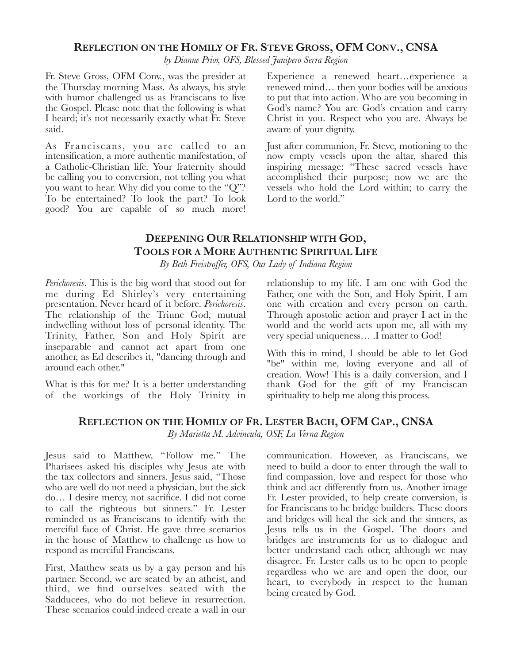#### **REFLECTION ON THE HOMILY OF FR. STEVE GROSS, OFM CONV., CNSA**

*by Dianne Prior, OFS, Blessed Junipero Serra Region*

Fr. Steve Gross, OFM Conv., was the presider at the Thursday morning Mass. As always, his style with humor challenged us as Franciscans to live the Gospel. Please note that the following is what I heard; it's not necessarily exactly what Fr. Steve said.

As Franciscans, you are called to an intensification, a more authentic manifestation, of a Catholic-Christian life. Your fraternity should be calling you to conversion, not telling you what you want to hear. Why did you come to the "Q"? To be entertained? To look the part? To look good? You are capable of so much more!

Experience a renewed heart…experience a renewed mind… then your bodies will be anxious to put that into action. Who are you becoming in God's name? You are God's creation and carry Christ in you. Respect who you are. Always be aware of your dignity.

Just after communion, Fr. Steve, motioning to the now empty vessels upon the altar, shared this inspiring message: "These sacred vessels have accomplished their purpose; now we are the vessels who hold the Lord within; to carry the Lord to the world."

# **DEEPENING OUR RELATIONSHIP WITH GOD, TOOLS FOR A MORE AUTHENTIC SPIRITUAL LIFE**

*By Beth Freistroffer, OFS, Our Lady of Indiana Region*

*Perichoresis*. This is the big word that stood out for me during Ed Shirley's very entertaining presentation. Never heard of it before. *Perichoresis*. The relationship of the Triune God, mutual indwelling without loss of personal identity. The Trinity, Father, Son and Holy Spirit are inseparable and cannot act apart from one another, as Ed describes it, "dancing through and around each other."

What is this for me? It is a better understanding of the workings of the Holy Trinity in

relationship to my life. I am one with God the Father, one with the Son, and Holy Spirit. I am one with creation and every person on earth. Through apostolic action and prayer I act in the world and the world acts upon me, all with my very special uniqueness… .I matter to God!

With this in mind, I should be able to let God "be" within me, loving everyone and all of creation. Wow! This is a daily conversion, and I thank God for the gift of my Franciscan spirituality to help me along this process.

### **REFLECTION ON THE HOMILY OF FR. LESTER BACH, OFM CAP., CNSA**

*By Marietta M. Advincula, OSF, La Verna Region*

Jesus said to Matthew, "Follow me." The Pharisees asked his disciples why Jesus ate with the tax collectors and sinners. Jesus said, "Those who are well do not need a physician, but the sick do… I desire mercy, not sacrifice. I did not come to call the righteous but sinners." Fr. Lester reminded us as Franciscans to identify with the merciful face of Christ. He gave three scenarios in the house of Matthew to challenge us how to respond as merciful Franciscans.

First, Matthew seats us by a gay person and his partner. Second, we are seated by an atheist, and third, we find ourselves seated with the Sadducees, who do not believe in resurrection. These scenarios could indeed create a wall in our

communication. However, as Franciscans, we need to build a door to enter through the wall to find compassion, love and respect for those who think and act differently from us. Another image Fr. Lester provided, to help create conversion, is for Franciscans to be bridge builders. These doors and bridges will heal the sick and the sinners, as Jesus tells us in the Gospel. The doors and bridges are instruments for us to dialogue and better understand each other, although we may disagree. Fr. Lester calls us to be open to people regardless who we are and open the door, our heart, to everybody in respect to the human being created by God.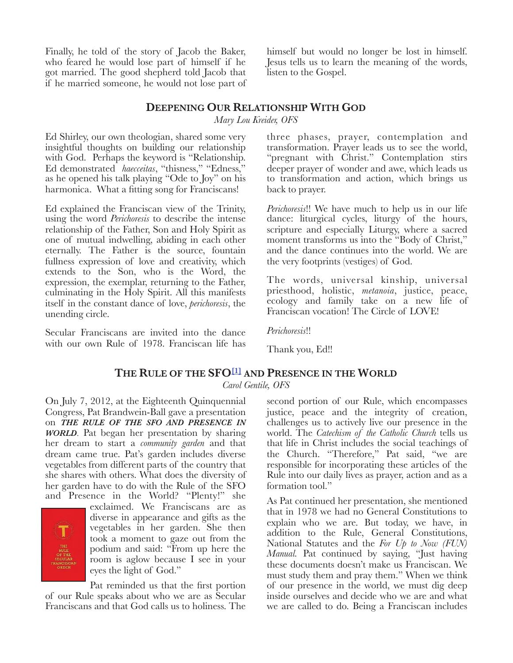Finally, he told of the story of Jacob the Baker, who feared he would lose part of himself if he got married. The good shepherd told Jacob that if he married someone, he would not lose part of

himself but would no longer be lost in himself. Jesus tells us to learn the meaning of the words, listen to the Gospel.

#### **DEEPENING OUR RELATIONSHIP WITH GOD**

*Mary Lou Kreider, OFS*

Ed Shirley, our own theologian, shared some very insightful thoughts on building our relationship with God. Perhaps the keyword is "Relationship. Ed demonstrated *haecceitas*, "thisness," "Edness," as he opened his talk playing "Ode to Joy" on his harmonica. What a fitting song for Franciscans!

Ed explained the Franciscan view of the Trinity, using the word *Perichoresis* to describe the intense relationship of the Father, Son and Holy Spirit as one of mutual indwelling, abiding in each other eternally. The Father is the source, fountain fullness expression of love and creativity, which extends to the Son, who is the Word, the expression, the exemplar, returning to the Father, culminating in the Holy Spirit. All this manifests itself in the constant dance of love, *perichoresis*, the unending circle.

Secular Franciscans are invited into the dance with our own Rule of 1978. Franciscan life has three phases, prayer, contemplation and transformation. Prayer leads us to see the world, "pregnant with Christ." Contemplation stirs deeper prayer of wonder and awe, which leads us to transformation and action, which brings us back to prayer.

*Perichoresis*!! We have much to help us in our life dance: liturgical cycles, liturgy of the hours, scripture and especially Liturgy, where a sacred moment transforms us into the "Body of Christ," and the dance continues into the world. We are the very footprints (vestiges) of God.

The words, universal kinship, universal priesthood, holistic, *metanoia*, justice, peace, ecology and family take on a new life of Franciscan vocation! The Circle of LOVE!

*Perichoresis*!!

Thank you, Ed!!

#### **THE RULE OF THE SFO[1] AND PRESENCE IN THE WORLD**

*Carol Gentile, OFS*

On July 7, 2012, at the Eighteenth Quinquennial Congress, Pat Brandwein-Ball gave a presentation on *THE RULE OF THE SFO AND PRESENCE IN WORLD*. Pat began her presentation by sharing her dream to start a *community garden* and that dream came true. Pat's garden includes diverse vegetables from different parts of the country that she shares with others. What does the diversity of her garden have to do with the Rule of the SFO and Presence in the World? "Plenty!" she



exclaimed. We Franciscans are as diverse in appearance and gifts as the vegetables in her garden. She then took a moment to gaze out from the podium and said: "From up here the room is aglow because I see in your eyes the light of God."

Pat reminded us that the first portion of our Rule speaks about who we are as Secular Franciscans and that God calls us to holiness. The

second portion of our Rule, which encompasses justice, peace and the integrity of creation, challenges us to actively live our presence in the world. The *Catechism of the Catholic Church* tells us that life in Christ includes the social teachings of the Church. "Therefore," Pat said, "we are responsible for incorporating these articles of the Rule into our daily lives as prayer, action and as a formation tool."

As Pat continued her presentation, she mentioned that in 1978 we had no General Constitutions to explain who we are. But today, we have, in addition to the Rule, General Constitutions, National Statutes and the *For Up to Now (FUN) Manual.* Pat continued by saying, "Just having these documents doesn't make us Franciscan. We must study them and pray them." When we think of our presence in the world, we must dig deep inside ourselves and decide who we are and what we are called to do. Being a Franciscan includes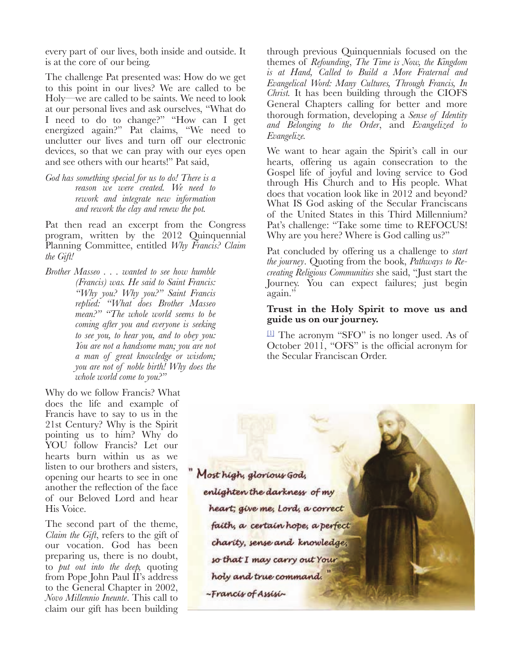every part of our lives, both inside and outside. It is at the core of our being.

The challenge Pat presented was: How do we get to this point in our lives? We are called to be Holy—we are called to be saints. We need to look at our personal lives and ask ourselves, "What do I need to do to change?" "How can I get energized again?" Pat claims, "We need to unclutter our lives and turn off our electronic devices, so that we can pray with our eyes open and see others with our hearts!" Pat said,

*God has something special for us to do! There is a reason we were created. We need to rework and integrate new information and rework the clay and renew the pot.*

Pat then read an excerpt from the Congress program, written by the 2012 Quinquennial Planning Committee, entitled *Why Francis? Claim the Gift!* 

*Brother Masseo . . . wanted to see how humble (Francis) was. He said to Saint Francis: "Why you? Why you?" Saint Francis replied: "What does Brother Masseo mean?" "The whole world seems to be coming after you and everyone is seeking to see you, to hear you, and to obey you: You are not a handsome man; you are not a man of great knowledge or wisdom; you are not of noble birth! Why does the whole world come to you?"*

Why do we follow Francis? What does the life and example of Francis have to say to us in the 21st Century? Why is the Spirit pointing us to him? Why do YOU follow Francis? Let our hearts burn within us as we listen to our brothers and sisters, opening our hearts to see in one another the reflection of the face of our Beloved Lord and hear His Voice.

The second part of the theme, *Claim the Gift*, refers to the gift of our vocation. God has been preparing us, there is no doubt, to *put out into the deep,* quoting from Pope John Paul II's address to the General Chapter in 2002, *Novo Millennio Ineunte*. This call to claim our gift has been building

through previous Quinquennials focused on the themes of *Refounding*, *The Time is Now, the Kingdom is at Hand, Called to Build a More Fraternal and Evangelical Word: Many Cultures, Through Francis, In Christ.* It has been building through the CIOFS General Chapters calling for better and more thorough formation, developing a *Sense of Identity and Belonging to the Order*, and *Evangelized to Evangelize.*

We want to hear again the Spirit's call in our hearts, offering us again consecration to the Gospel life of joyful and loving service to God through His Church and to His people. What does that vocation look like in 2012 and beyond? What IS God asking of the Secular Franciscans of the United States in this Third Millennium? Pat's challenge: "Take some time to REFOCUS! Why are you here? Where is God calling us?"

Pat concluded by offering us a challenge to *start the journey*. Quoting from the book, *Pathways to Recreating Religious Communities* she said, "Just start the Journey. You can expect failures; just begin again."

#### **Trust in the Holy Spirit to move us and guide us on our journey.**

[1] The acronym "SFO" is no longer used. As of October 2011, "OFS" is the official acronym for the Secular Franciscan Order.

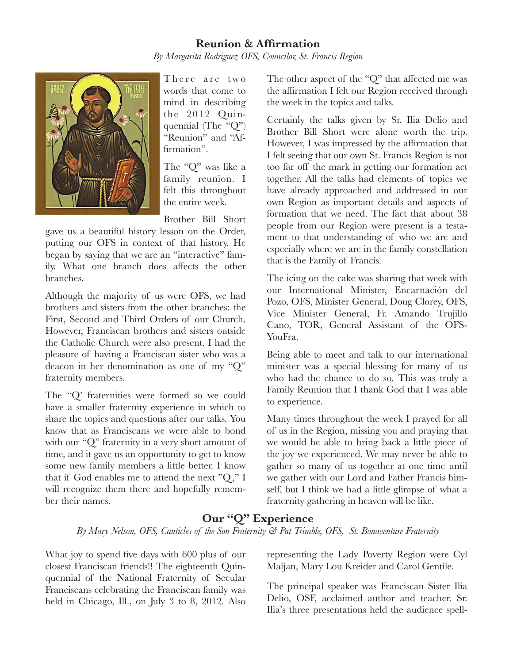## **Reunion & Affirmation** *By Margarita Rodriguez OFS, Councilor, St. Francis Region*



There are two words that come to mind in describing the 2012 Quinquennial (The "Q") "Reunion" and "Affirmation".

The "Q" was like a family reunion. I felt this throughout the entire week.

Brother Bill Short

gave us a beautiful history lesson on the Order, putting our OFS in context of that history. He began by saying that we are an "interactive" family. What one branch does affects the other branches.

Although the majority of us were OFS, we had brothers and sisters from the other branches: the First, Second and Third Orders of our Church. However, Franciscan brothers and sisters outside the Catholic Church were also present. I had the pleasure of having a Franciscan sister who was a deacon in her denomination as one of my "Q" fraternity members.

The "Q' fraternities were formed so we could have a smaller fraternity experience in which to share the topics and questions after our talks. You know that as Franciscans we were able to bond with our "Q" fraternity in a very short amount of time, and it gave us an opportunity to get to know some new family members a little better. I know that if God enables me to attend the next "Q," I will recognize them there and hopefully remember their names.

The other aspect of the "Q" that affected me was the affirmation I felt our Region received through the week in the topics and talks.

Certainly the talks given by Sr. Ilia Delio and Brother Bill Short were alone worth the trip. However, I was impressed by the affirmation that I felt seeing that our own St. Francis Region is not too far off the mark in getting our formation act together. All the talks had elements of topics we have already approached and addressed in our own Region as important details and aspects of formation that we need. The fact that about 38 people from our Region were present is a testament to that understanding of who we are and especially where we are in the family constellation that is the Family of Francis.

The icing on the cake was sharing that week with our International Minister, Encarnación del Pozo, OFS, Minister General, Doug Clorey, OFS, Vice Minister General, Fr. Amando Trujillo Cano, TOR, General Assistant of the OFS-YouFra.

Being able to meet and talk to our international minister was a special blessing for many of us who had the chance to do so. This was truly a Family Reunion that I thank God that I was able to experience.

Many times throughout the week I prayed for all of us in the Region, missing you and praying that we would be able to bring back a little piece of the joy we experienced. We may never be able to gather so many of us together at one time until we gather with our Lord and Father Francis himself, but I think we had a little glimpse of what a fraternity gathering in heaven will be like.

## **Our "Q" Experience**

*By Mary Nelson, OFS, Canticles of the Son Fraternity & Pat Trimble, OFS, St. Bonaventure Fraternity*

What joy to spend five days with 600 plus of our closest Franciscan friends!! The eighteenth Quinquennial of the National Fraternity of Secular Franciscans celebrating the Franciscan family was held in Chicago, Ill., on July 3 to 8, 2012. Also representing the Lady Poverty Region were Cyl Maljan, Mary Lou Kreider and Carol Gentile.

The principal speaker was Franciscan Sister Ilia Delio, OSF, acclaimed author and teacher. Sr. Ilia's three presentations held the audience spell